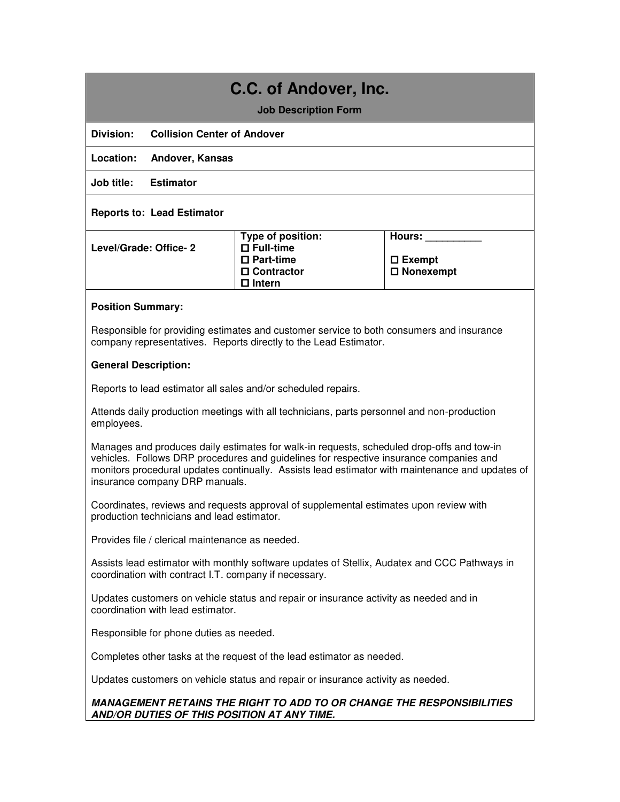# **C.C. of Andover, Inc.**

**Job Description Form** 

**Division: Collision Center of Andover** 

**Location: Andover, Kansas** 

**Job title: Estimator** 

# **Reports to: Lead Estimator**

|                        | Type of position:   | Hours:              |
|------------------------|---------------------|---------------------|
| Level/Grade: Office- 2 | $\Box$ Full-time    |                     |
|                        | $\square$ Part-time | $\square$ Exempt    |
|                        | $\Box$ Contractor   | $\square$ Nonexempt |
|                        | □ Intern            |                     |

## **Position Summary:**

Responsible for providing estimates and customer service to both consumers and insurance company representatives. Reports directly to the Lead Estimator.

## **General Description:**

Reports to lead estimator all sales and/or scheduled repairs.

Attends daily production meetings with all technicians, parts personnel and non-production employees.

Manages and produces daily estimates for walk-in requests, scheduled drop-offs and tow-in vehicles. Follows DRP procedures and guidelines for respective insurance companies and monitors procedural updates continually. Assists lead estimator with maintenance and updates of insurance company DRP manuals.

Coordinates, reviews and requests approval of supplemental estimates upon review with production technicians and lead estimator.

Provides file / clerical maintenance as needed.

Assists lead estimator with monthly software updates of Stellix, Audatex and CCC Pathways in coordination with contract I.T. company if necessary.

Updates customers on vehicle status and repair or insurance activity as needed and in coordination with lead estimator.

Responsible for phone duties as needed.

Completes other tasks at the request of the lead estimator as needed.

Updates customers on vehicle status and repair or insurance activity as needed.

# *MANAGEMENT RETAINS THE RIGHT TO ADD TO OR CHANGE THE RESPONSIBILITIES AND/OR DUTIES OF THIS POSITION AT ANY TIME.*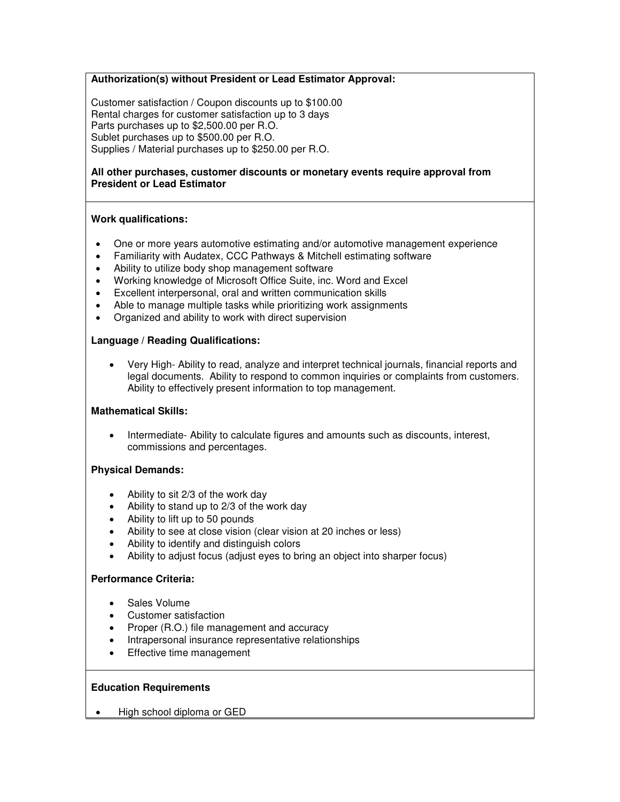# **Authorization(s) without President or Lead Estimator Approval:**

Customer satisfaction / Coupon discounts up to \$100.00 Rental charges for customer satisfaction up to 3 days Parts purchases up to \$2,500.00 per R.O. Sublet purchases up to \$500.00 per R.O. Supplies / Material purchases up to \$250.00 per R.O.

#### **All other purchases, customer discounts or monetary events require approval from President or Lead Estimator**

## **Work qualifications:**

- One or more years automotive estimating and/or automotive management experience
- Familiarity with Audatex, CCC Pathways & Mitchell estimating software
- Ability to utilize body shop management software
- Working knowledge of Microsoft Office Suite, inc. Word and Excel
- Excellent interpersonal, oral and written communication skills
- Able to manage multiple tasks while prioritizing work assignments
- Organized and ability to work with direct supervision

## **Language / Reading Qualifications:**

 Very High- Ability to read, analyze and interpret technical journals, financial reports and legal documents. Ability to respond to common inquiries or complaints from customers. Ability to effectively present information to top management.

#### **Mathematical Skills:**

 Intermediate- Ability to calculate figures and amounts such as discounts, interest, commissions and percentages.

# **Physical Demands:**

- Ability to sit 2/3 of the work day
- Ability to stand up to 2/3 of the work day
- Ability to lift up to 50 pounds
- Ability to see at close vision (clear vision at 20 inches or less)
- Ability to identify and distinguish colors
- Ability to adjust focus (adjust eyes to bring an object into sharper focus)

## **Performance Criteria:**

- Sales Volume
- Customer satisfaction
- Proper (R.O.) file management and accuracy
- Intrapersonal insurance representative relationships
- Effective time management

# **Education Requirements**

• High school diploma or GED